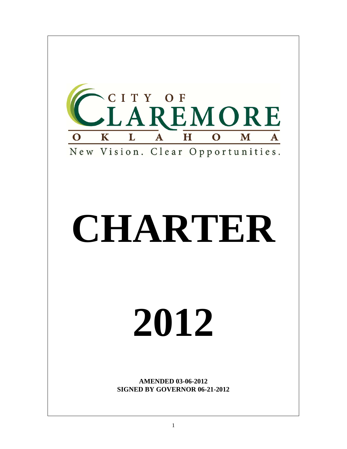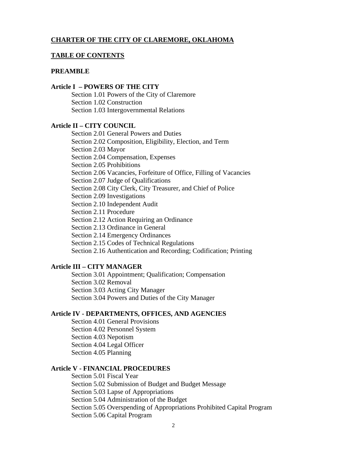## **CHARTER OF THE CITY OF CLAREMORE, OKLAHOMA**

### **TABLE OF CONTENTS**

#### **PREAMBLE**

### **Article I – POWERS OF THE CITY**

Section 1.01 Powers of the City of Claremore Section 1.02 Construction Section 1.03 Intergovernmental Relations

# **Article II – CITY COUNCIL**

Section 2.01 General Powers and Duties Section 2.02 Composition, Eligibility, Election, and Term Section 2.03 Mayor Section 2.04 Compensation, Expenses Section 2.05 Prohibitions Section 2.06 Vacancies, Forfeiture of Office, Filling of Vacancies Section 2.07 Judge of Qualifications Section 2.08 City Clerk, City Treasurer, and Chief of Police Section 2.09 Investigations Section 2.10 Independent Audit Section 2.11 Procedure Section 2.12 Action Requiring an Ordinance Section 2.13 Ordinance in General Section 2.14 Emergency Ordinances Section 2.15 Codes of Technical Regulations Section 2.16 Authentication and Recording; Codification; Printing

### **Article III – CITY MANAGER**

 Section 3.01 Appointment; Qualification; Compensation Section 3.02 Removal Section 3.03 Acting City Manager Section 3.04 Powers and Duties of the City Manager

### **Article IV - DEPARTMENTS, OFFICES, AND AGENCIES**

Section 4.01 General Provisions Section 4.02 Personnel System Section 4.03 Nepotism Section 4.04 Legal Officer Section 4.05 Planning

### **Article V - FINANCIAL PROCEDURES**

Section 5.01 Fiscal Year Section 5.02 Submission of Budget and Budget Message Section 5.03 Lapse of Appropriations Section 5.04 Administration of the Budget Section 5.05 Overspending of Appropriations Prohibited Capital Program Section 5.06 Capital Program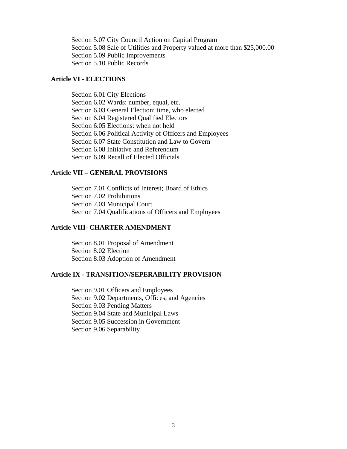Section 5.07 City Council Action on Capital Program Section 5.08 Sale of Utilities and Property valued at more than \$25,000.00 Section 5.09 Public Improvements Section 5.10 Public Records

## **Article VI - ELECTIONS**

Section 6.01 City Elections Section 6.02 Wards: number, equal, etc. Section 6.03 General Election: time, who elected Section 6.04 Registered Qualified Electors Section 6.05 Elections: when not held Section 6.06 Political Activity of Officers and Employees Section 6.07 State Constitution and Law to Govern Section 6.08 Initiative and Referendum Section 6.09 Recall of Elected Officials

### **Article VII – GENERAL PROVISIONS**

Section 7.01 Conflicts of Interest; Board of Ethics Section 7.02 Prohibitions Section 7.03 Municipal Court Section 7.04 Qualifications of Officers and Employees

## **Article VIII- CHARTER AMENDMENT**

Section 8.01 Proposal of Amendment Section 8.02 Election Section 8.03 Adoption of Amendment

### **Article IX - TRANSITION/SEPERABILITY PROVISION**

 Section 9.01 Officers and Employees Section 9.02 Departments, Offices, and Agencies Section 9.03 Pending Matters Section 9.04 State and Municipal Laws Section 9.05 Succession in Government Section 9.06 Separability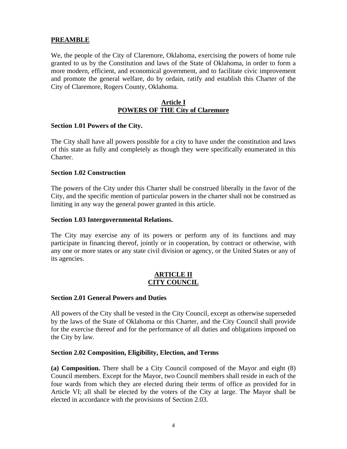# **PREAMBLE**

We, the people of the City of Claremore, Oklahoma, exercising the powers of home rule granted to us by the Constitution and laws of the State of Oklahoma, in order to form a more modern, efficient, and economical government, and to facilitate civic improvement and promote the general welfare, do by ordain, ratify and establish this Charter of the City of Claremore, Rogers County, Oklahoma.

## **Article I POWERS OF THE City of Claremore**

## **Section 1.01 Powers of the City.**

The City shall have all powers possible for a city to have under the constitution and laws of this state as fully and completely as though they were specifically enumerated in this Charter.

## **Section 1.02 Construction**

The powers of the City under this Charter shall be construed liberally in the favor of the City, and the specific mention of particular powers in the charter shall not be construed as limiting in any way the general power granted in this article.

## **Section 1.03 Intergovernmental Relations.**

The City may exercise any of its powers or perform any of its functions and may participate in financing thereof, jointly or in cooperation, by contract or otherwise, with any one or more states or any state civil division or agency, or the United States or any of its agencies.

## **ARTICLE II CITY COUNCIL**

## **Section 2.01 General Powers and Duties**

All powers of the City shall be vested in the City Council, except as otherwise superseded by the laws of the State of Oklahoma or this Charter, and the City Council shall provide for the exercise thereof and for the performance of all duties and obligations imposed on the City by law.

## **Section 2.02 Composition, Eligibility, Election, and Terms**

**(a) Composition.** There shall be a City Council composed of the Mayor and eight (8) Council members. Except for the Mayor, two Council members shall reside in each of the four wards from which they are elected during their terms of office as provided for in Article VI; all shall be elected by the voters of the City at large. The Mayor shall be elected in accordance with the provisions of Section 2.03.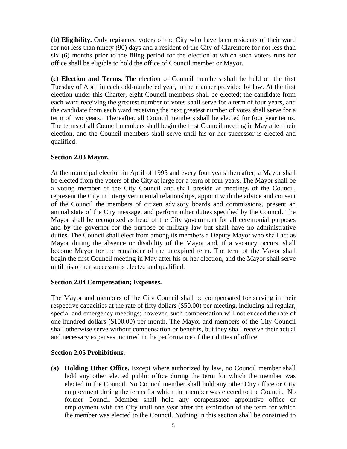**(b) Eligibility.** Only registered voters of the City who have been residents of their ward for not less than ninety (90) days and a resident of the City of Claremore for not less than six (6) months prior to the filing period for the election at which such voters runs for office shall be eligible to hold the office of Council member or Mayor.

**(c) Election and Terms.** The election of Council members shall be held on the first Tuesday of April in each odd-numbered year, in the manner provided by law. At the first election under this Charter, eight Council members shall be elected; the candidate from each ward receiving the greatest number of votes shall serve for a term of four years, and the candidate from each ward receiving the next greatest number of votes shall serve for a term of two years. Thereafter, all Council members shall be elected for four year terms. The terms of all Council members shall begin the first Council meeting in May after their election, and the Council members shall serve until his or her successor is elected and qualified.

# **Section 2.03 Mayor.**

At the municipal election in April of 1995 and every four years thereafter, a Mayor shall be elected from the voters of the City at large for a term of four years. The Mayor shall be a voting member of the City Council and shall preside at meetings of the Council, represent the City in intergovernmental relationships, appoint with the advice and consent of the Council the members of citizen advisory boards and commissions, present an annual state of the City message, and perform other duties specified by the Council. The Mayor shall be recognized as head of the City government for all ceremonial purposes and by the governor for the purpose of military law but shall have no administrative duties. The Council shall elect from among its members a Deputy Mayor who shall act as Mayor during the absence or disability of the Mayor and, if a vacancy occurs, shall become Mayor for the remainder of the unexpired term. The term of the Mayor shall begin the first Council meeting in May after his or her election, and the Mayor shall serve until his or her successor is elected and qualified.

# **Section 2.04 Compensation; Expenses.**

The Mayor and members of the City Council shall be compensated for serving in their respective capacities at the rate of fifty dollars (\$50.00) per meeting, including all regular, special and emergency meetings; however, such compensation will not exceed the rate of one hundred dollars (\$100.00) per month. The Mayor and members of the City Council shall otherwise serve without compensation or benefits, but they shall receive their actual and necessary expenses incurred in the performance of their duties of office.

# **Section 2.05 Prohibitions.**

**(a) Holding Other Office.** Except where authorized by law, no Council member shall hold any other elected public office during the term for which the member was elected to the Council. No Council member shall hold any other City office or City employment during the terms for which the member was elected to the Council. No former Council Member shall hold any compensated appointive office or employment with the City until one year after the expiration of the term for which the member was elected to the Council. Nothing in this section shall be construed to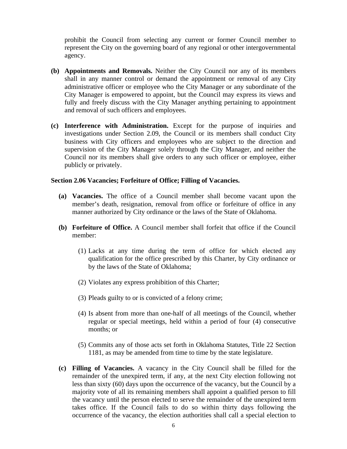prohibit the Council from selecting any current or former Council member to represent the City on the governing board of any regional or other intergovernmental agency.

- **(b) Appointments and Removals.** Neither the City Council nor any of its members shall in any manner control or demand the appointment or removal of any City administrative officer or employee who the City Manager or any subordinate of the City Manager is empowered to appoint, but the Council may express its views and fully and freely discuss with the City Manager anything pertaining to appointment and removal of such officers and employees.
- **(c) Interference with Administration.** Except for the purpose of inquiries and investigations under Section 2.09, the Council or its members shall conduct City business with City officers and employees who are subject to the direction and supervision of the City Manager solely through the City Manager, and neither the Council nor its members shall give orders to any such officer or employee, either publicly or privately.

### **Section 2.06 Vacancies; Forfeiture of Office; Filling of Vacancies.**

- **(a) Vacancies.** The office of a Council member shall become vacant upon the member's death, resignation, removal from office or forfeiture of office in any manner authorized by City ordinance or the laws of the State of Oklahoma.
- **(b) Forfeiture of Office.** A Council member shall forfeit that office if the Council member:
	- (1) Lacks at any time during the term of office for which elected any qualification for the office prescribed by this Charter, by City ordinance or by the laws of the State of Oklahoma;
	- (2) Violates any express prohibition of this Charter;
	- (3) Pleads guilty to or is convicted of a felony crime;
	- (4) Is absent from more than one-half of all meetings of the Council, whether regular or special meetings, held within a period of four (4) consecutive months; or
	- (5) Commits any of those acts set forth in Oklahoma Statutes, Title 22 Section 1181, as may be amended from time to time by the state legislature.
- **(c) Filling of Vacancies.** A vacancy in the City Council shall be filled for the remainder of the unexpired term, if any, at the next City election following not less than sixty (60) days upon the occurrence of the vacancy, but the Council by a majority vote of all its remaining members shall appoint a qualified person to fill the vacancy until the person elected to serve the remainder of the unexpired term takes office. If the Council fails to do so within thirty days following the occurrence of the vacancy, the election authorities shall call a special election to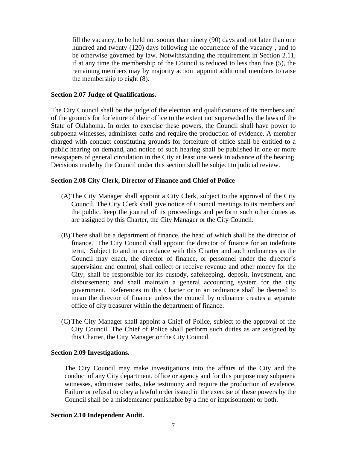fill the vacancy, to be held not sooner than ninety (90) days and not later than one hundred and twenty (120) days following the occurrence of the vacancy , and to be otherwise governed by law. Notwithstanding the requirement in Section 2.11, if at any time the membership of the Council is reduced to less than five (5), the remaining members may by majority action appoint additional members to raise the membership to eight (8).

### **Section 2.07 Judge of Qualifications.**

The City Council shall be the judge of the election and qualifications of its members and of the grounds for forfeiture of their office to the extent not superseded by the laws of the State of Oklahoma. In order to exercise these powers, the Council shall have power to subpoena witnesses, administer oaths and require the production of evidence. A member charged with conduct constituting grounds for forfeiture of office shall be entitled to a public hearing on demand, and notice of such hearing shall be published in one or more newspapers of general circulation in the City at least one week in advance of the hearing. Decisions made by the Council under this section shall be subject to judicial review.

## **Section 2.08 City Clerk, Director of Finance and Chief of Police**

- (A)The City Manager shall appoint a City Clerk, subject to the approval of the City Council. The City Clerk shall give notice of Council meetings to its members and the public, keep the journal of its proceedings and perform such other duties as are assigned by this Charter, the City Manager or the City Council.
- (B) There shall be a department of finance, the head of which shall be the director of finance. The City Council shall appoint the director of finance for an indefinite term. Subject to and in accordance with this Charter and such ordinances as the Council may enact, the director of finance, or personnel under the director's supervision and control, shall collect or receive revenue and other money for the City; shall be responsible for its custody, safekeeping, deposit, investment, and disbursement; and shall maintain a general accounting system for the city government. References in this Charter or in an ordinance shall be deemed to mean the director of finance unless the council by ordinance creates a separate office of city treasurer within the department of finance.
- (C) The City Manager shall appoint a Chief of Police, subject to the approval of the City Council. The Chief of Police shall perform such duties as are assigned by this Charter, the City Manager or the City Council.

### **Section 2.09 Investigations.**

The City Council may make investigations into the affairs of the City and the conduct of any City department, office or agency and for this purpose may subpoena witnesses, administer oaths, take testimony and require the production of evidence. Failure or refusal to obey a lawful order issued in the exercise of these powers by the Council shall be a misdemeanor punishable by a fine or imprisonment or both.

### **Section 2.10 Independent Audit.**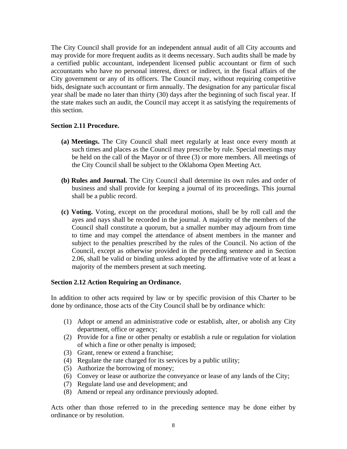The City Council shall provide for an independent annual audit of all City accounts and may provide for more frequent audits as it deems necessary. Such audits shall be made by a certified public accountant, independent licensed public accountant or firm of such accountants who have no personal interest, direct or indirect, in the fiscal affairs of the City government or any of its officers. The Council may, without requiring competitive bids, designate such accountant or firm annually. The designation for any particular fiscal year shall be made no later than thirty (30) days after the beginning of such fiscal year. If the state makes such an audit, the Council may accept it as satisfying the requirements of this section.

## **Section 2.11 Procedure.**

- **(a) Meetings.** The City Council shall meet regularly at least once every month at such times and places as the Council may prescribe by rule. Special meetings may be held on the call of the Mayor or of three (3) or more members. All meetings of the City Council shall be subject to the Oklahoma Open Meeting Act.
- **(b) Rules and Journal.** The City Council shall determine its own rules and order of business and shall provide for keeping a journal of its proceedings. This journal shall be a public record.
- **(c) Voting.** Voting, except on the procedural motions, shall be by roll call and the ayes and nays shall be recorded in the journal. A majority of the members of the Council shall constitute a quorum, but a smaller number may adjourn from time to time and may compel the attendance of absent members in the manner and subject to the penalties prescribed by the rules of the Council. No action of the Council, except as otherwise provided in the preceding sentence and in Section 2.06, shall be valid or binding unless adopted by the affirmative vote of at least a majority of the members present at such meeting.

## **Section 2.12 Action Requiring an Ordinance.**

In addition to other acts required by law or by specific provision of this Charter to be done by ordinance, those acts of the City Council shall be by ordinance which:

- (1) Adopt or amend an administrative code or establish, alter, or abolish any City department, office or agency;
- (2) Provide for a fine or other penalty or establish a rule or regulation for violation of which a fine or other penalty is imposed;
- (3) Grant, renew or extend a franchise;
- (4) Regulate the rate charged for its services by a public utility;
- (5) Authorize the borrowing of money;
- (6) Convey or lease or authorize the conveyance or lease of any lands of the City;
- (7) Regulate land use and development; and
- (8) Amend or repeal any ordinance previously adopted.

Acts other than those referred to in the preceding sentence may be done either by ordinance or by resolution.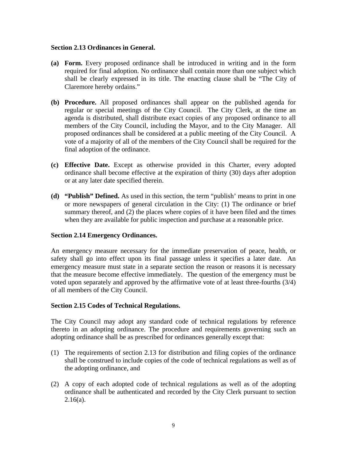## **Section 2.13 Ordinances in General.**

- **(a) Form.** Every proposed ordinance shall be introduced in writing and in the form required for final adoption. No ordinance shall contain more than one subject which shall be clearly expressed in its title. The enacting clause shall be "The City of Claremore hereby ordains."
- **(b) Procedure.** All proposed ordinances shall appear on the published agenda for regular or special meetings of the City Council. The City Clerk, at the time an agenda is distributed, shall distribute exact copies of any proposed ordinance to all members of the City Council, including the Mayor, and to the City Manager. All proposed ordinances shall be considered at a public meeting of the City Council. A vote of a majority of all of the members of the City Council shall be required for the final adoption of the ordinance.
- **(c) Effective Date.** Except as otherwise provided in this Charter, every adopted ordinance shall become effective at the expiration of thirty (30) days after adoption or at any later date specified therein.
- **(d) "Publish" Defined.** As used in this section, the term "publish' means to print in one or more newspapers of general circulation in the City: (1) The ordinance or brief summary thereof, and (2) the places where copies of it have been filed and the times when they are available for public inspection and purchase at a reasonable price.

# **Section 2.14 Emergency Ordinances.**

An emergency measure necessary for the immediate preservation of peace, health, or safety shall go into effect upon its final passage unless it specifies a later date. An emergency measure must state in a separate section the reason or reasons it is necessary that the measure become effective immediately. The question of the emergency must be voted upon separately and approved by the affirmative vote of at least three-fourths (3/4) of all members of the City Council.

## **Section 2.15 Codes of Technical Regulations.**

The City Council may adopt any standard code of technical regulations by reference thereto in an adopting ordinance. The procedure and requirements governing such an adopting ordinance shall be as prescribed for ordinances generally except that:

- (1) The requirements of section 2.13 for distribution and filing copies of the ordinance shall be construed to include copies of the code of technical regulations as well as of the adopting ordinance, and
- (2) A copy of each adopted code of technical regulations as well as of the adopting ordinance shall be authenticated and recorded by the City Clerk pursuant to section  $2.16(a)$ .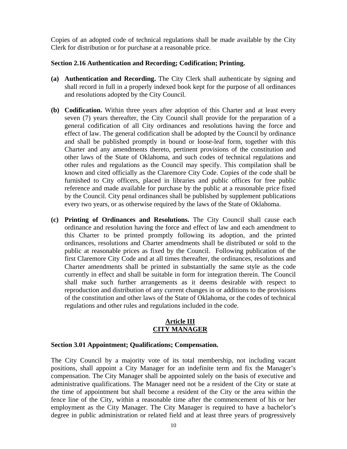Copies of an adopted code of technical regulations shall be made available by the City Clerk for distribution or for purchase at a reasonable price.

## **Section 2.16 Authentication and Recording; Codification; Printing.**

- **(a) Authentication and Recording.** The City Clerk shall authenticate by signing and shall record in full in a properly indexed book kept for the purpose of all ordinances and resolutions adopted by the City Council.
- **(b) Codification.** Within three years after adoption of this Charter and at least every seven (7) years thereafter, the City Council shall provide for the preparation of a general codification of all City ordinances and resolutions having the force and effect of law. The general codification shall be adopted by the Council by ordinance and shall be published promptly in bound or loose-leaf form, together with this Charter and any amendments thereto, pertinent provisions of the constitution and other laws of the State of Oklahoma, and such codes of technical regulations and other rules and regulations as the Council may specify. This compilation shall be known and cited officially as the Claremore City Code. Copies of the code shall be furnished to City officers, placed in libraries and public offices for free public reference and made available for purchase by the public at a reasonable price fixed by the Council. City penal ordinances shall be published by supplement publications every two years, or as otherwise required by the laws of the State of Oklahoma.
- **(c) Printing of Ordinances and Resolutions.** The City Council shall cause each ordinance and resolution having the force and effect of law and each amendment to this Charter to be printed promptly following its adoption, and the printed ordinances, resolutions and Charter amendments shall be distributed or sold to the public at reasonable prices as fixed by the Council. Following publication of the first Claremore City Code and at all times thereafter, the ordinances, resolutions and Charter amendments shall be printed in substantially the same style as the code currently in effect and shall be suitable in form for integration therein. The Council shall make such further arrangements as it deems desirable with respect to reproduction and distribution of any current changes in or additions to the provisions of the constitution and other laws of the State of Oklahoma, or the codes of technical regulations and other rules and regulations included in the code.

## **Article III CITY MANAGER**

## **Section 3.01 Appointment; Qualifications; Compensation.**

The City Council by a majority vote of its total membership, not including vacant positions, shall appoint a City Manager for an indefinite term and fix the Manager's compensation. The City Manager shall be appointed solely on the basis of executive and administrative qualifications. The Manager need not be a resident of the City or state at the time of appointment but shall become a resident of the City or the area within the fence line of the City, within a reasonable time after the commencement of his or her employment as the City Manager. The City Manager is required to have a bachelor's degree in public administration or related field and at least three years of progressively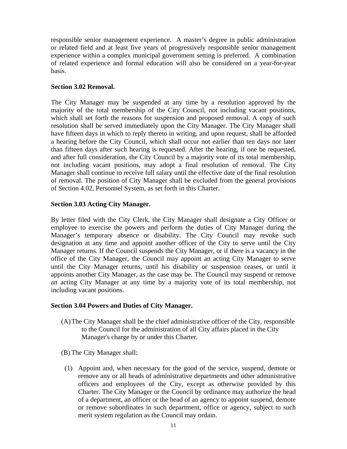responsible senior management experience. A master's degree in public administration or related field and at least five years of progressively responsible senior management experience within a complex municipal government setting is preferred. A combination of related experience and formal education will also be considered on a year-for-year basis.

## **Section 3.02 Removal.**

The City Manager may be suspended at any time by a resolution approved by the majority of the total membership of the City Council, not including vacant positions, which shall set forth the reasons for suspension and proposed removal. A copy of such resolution shall be served immediately upon the City Manager. The City Manager shall have fifteen days in which to reply thereto in writing, and upon request, shall be afforded a hearing before the City Council, which shall occur not earlier than ten days nor later than fifteen days after such hearing is requested. After the hearing, if one be requested, and after full consideration, the City Council by a majority vote of its total membership, not including vacant positions, may adopt a final resolution of removal. The City Manager shall continue to receive full salary until the effective date of the final resolution of removal. The position of City Manager shall be excluded from the general provisions of Section 4.02, Personnel System, as set forth in this Charter.

## **Section 3.03 Acting City Manager.**

By letter filed with the City Clerk, the City Manager shall designate a City Officer or employee to exercise the powers and perform the duties of City Manager during the Manager's temporary absence or disability. The City Council may revoke such designation at any time and appoint another officer of the City to serve until the City Manager returns. If the Council suspends the City Manager, or if there is a vacancy in the office of the City Manager, the Council may appoint an acting City Manager to serve until the City Manager returns, until his disability or suspension ceases, or until it appoints another City Manager, as the case may be. The Council may suspend or remove an acting City Manager at any time by a majority vote of its total membership, not including vacant positions.

## **Section 3.04 Powers and Duties of City Manager.**

- (A)The City Manager shall be the chief administrative officer of the City, responsible to the Council for the administration of all City affairs placed in the City Manager's charge by or under this Charter.
- (B) The City Manager shall:
- (1) Appoint and, when necessary for the good of the service, suspend, demote or remove any or all heads of administrative departments and other administrative officers and employees of the City, except as otherwise provided by this Charter. The City Manager or the Council by ordinance may authorize the head of a department, an officer or the head of an agency to appoint suspend, demote or remove subordinates in such department, office or agency, subject to such merit system regulation as the Council may ordain.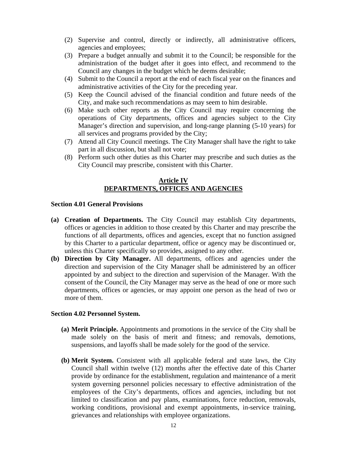- (2) Supervise and control, directly or indirectly, all administrative officers, agencies and employees;
- (3) Prepare a budget annually and submit it to the Council; be responsible for the administration of the budget after it goes into effect, and recommend to the Council any changes in the budget which he deems desirable;
- (4) Submit to the Council a report at the end of each fiscal year on the finances and administrative activities of the City for the preceding year.
- (5) Keep the Council advised of the financial condition and future needs of the City, and make such recommendations as may seem to him desirable.
- (6) Make such other reports as the City Council may require concerning the operations of City departments, offices and agencies subject to the City Manager's direction and supervision, and long-range planning (5-10 years) for all services and programs provided by the City;
- (7) Attend all City Council meetings. The City Manager shall have the right to take part in all discussion, but shall not vote;
- (8) Perform such other duties as this Charter may prescribe and such duties as the City Council may prescribe, consistent with this Charter.

## **Article IV DEPARTMENTS, OFFICES AND AGENCIES**

### **Section 4.01 General Provisions**

- **(a) Creation of Departments.** The City Council may establish City departments, offices or agencies in addition to those created by this Charter and may prescribe the functions of all departments, offices and agencies, except that no function assigned by this Charter to a particular department, office or agency may be discontinued or, unless this Charter specifically so provides, assigned to any other.
- **(b) Direction by City Manager.** All departments, offices and agencies under the direction and supervision of the City Manager shall be administered by an officer appointed by and subject to the direction and supervision of the Manager. With the consent of the Council, the City Manager may serve as the head of one or more such departments, offices or agencies, or may appoint one person as the head of two or more of them.

### **Section 4.02 Personnel System.**

- **(a) Merit Principle.** Appointments and promotions in the service of the City shall be made solely on the basis of merit and fitness; and removals, demotions, suspensions, and layoffs shall be made solely for the good of the service.
- **(b) Merit System.** Consistent with all applicable federal and state laws, the City Council shall within twelve (12) months after the effective date of this Charter provide by ordinance for the establishment, regulation and maintenance of a merit system governing personnel policies necessary to effective administration of the employees of the City's departments, offices and agencies, including but not limited to classification and pay plans, examinations, force reduction, removals, working conditions, provisional and exempt appointments, in-service training, grievances and relationships with employee organizations.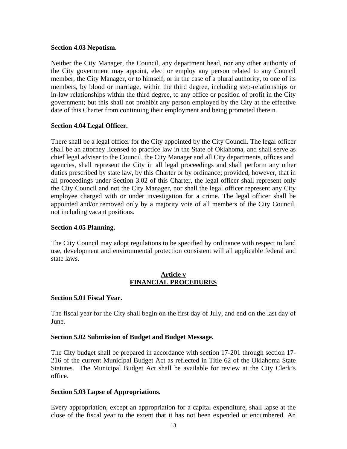## **Section 4.03 Nepotism.**

Neither the City Manager, the Council, any department head, nor any other authority of the City government may appoint, elect or employ any person related to any Council member, the City Manager, or to himself, or in the case of a plural authority, to one of its members, by blood or marriage, within the third degree, including step-relationships or in-law relationships within the third degree, to any office or position of profit in the City government; but this shall not prohibit any person employed by the City at the effective date of this Charter from continuing their employment and being promoted therein.

## **Section 4.04 Legal Officer.**

There shall be a legal officer for the City appointed by the City Council. The legal officer shall be an attorney licensed to practice law in the State of Oklahoma, and shall serve as chief legal adviser to the Council, the City Manager and all City departments, offices and agencies, shall represent the City in all legal proceedings and shall perform any other duties prescribed by state law, by this Charter or by ordinance; provided, however, that in all proceedings under Section 3.02 of this Charter, the legal officer shall represent only the City Council and not the City Manager, nor shall the legal officer represent any City employee charged with or under investigation for a crime. The legal officer shall be appointed and/or removed only by a majority vote of all members of the City Council, not including vacant positions.

## **Section 4.05 Planning.**

The City Council may adopt regulations to be specified by ordinance with respect to land use, development and environmental protection consistent will all applicable federal and state laws.

### **Article v FINANCIAL PROCEDURES**

## **Section 5.01 Fiscal Year.**

The fiscal year for the City shall begin on the first day of July, and end on the last day of June.

### **Section 5.02 Submission of Budget and Budget Message.**

The City budget shall be prepared in accordance with section 17-201 through section 17- 216 of the current Municipal Budget Act as reflected in Title 62 of the Oklahoma State Statutes. The Municipal Budget Act shall be available for review at the City Clerk's office.

### **Section 5.03 Lapse of Appropriations.**

Every appropriation, except an appropriation for a capital expenditure, shall lapse at the close of the fiscal year to the extent that it has not been expended or encumbered. An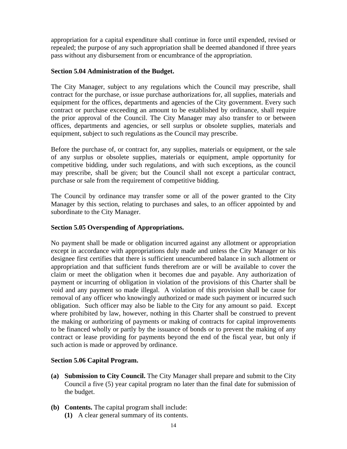appropriation for a capital expenditure shall continue in force until expended, revised or repealed; the purpose of any such appropriation shall be deemed abandoned if three years pass without any disbursement from or encumbrance of the appropriation.

## **Section 5.04 Administration of the Budget.**

The City Manager, subject to any regulations which the Council may prescribe, shall contract for the purchase, or issue purchase authorizations for, all supplies, materials and equipment for the offices, departments and agencies of the City government. Every such contract or purchase exceeding an amount to be established by ordinance, shall require the prior approval of the Council. The City Manager may also transfer to or between offices, departments and agencies, or sell surplus or obsolete supplies, materials and equipment, subject to such regulations as the Council may prescribe.

Before the purchase of, or contract for, any supplies, materials or equipment, or the sale of any surplus or obsolete supplies, materials or equipment, ample opportunity for competitive bidding, under such regulations, and with such exceptions, as the council may prescribe, shall be given; but the Council shall not except a particular contract, purchase or sale from the requirement of competitive bidding.

The Council by ordinance may transfer some or all of the power granted to the City Manager by this section, relating to purchases and sales, to an officer appointed by and subordinate to the City Manager.

# **Section 5.05 Overspending of Appropriations.**

No payment shall be made or obligation incurred against any allotment or appropriation except in accordance with appropriations duly made and unless the City Manager or his designee first certifies that there is sufficient unencumbered balance in such allotment or appropriation and that sufficient funds therefrom are or will be available to cover the claim or meet the obligation when it becomes due and payable. Any authorization of payment or incurring of obligation in violation of the provisions of this Charter shall be void and any payment so made illegal. A violation of this provision shall be cause for removal of any officer who knowingly authorized or made such payment or incurred such obligation. Such officer may also be liable to the City for any amount so paid. Except where prohibited by law, however, nothing in this Charter shall be construed to prevent the making or authorizing of payments or making of contracts for capital improvements to be financed wholly or partly by the issuance of bonds or to prevent the making of any contract or lease providing for payments beyond the end of the fiscal year, but only if such action is made or approved by ordinance.

# **Section 5.06 Capital Program.**

- **(a) Submission to City Council.** The City Manager shall prepare and submit to the City Council a five (5) year capital program no later than the final date for submission of the budget.
- **(b) Contents.** The capital program shall include:
	- **(1)** A clear general summary of its contents.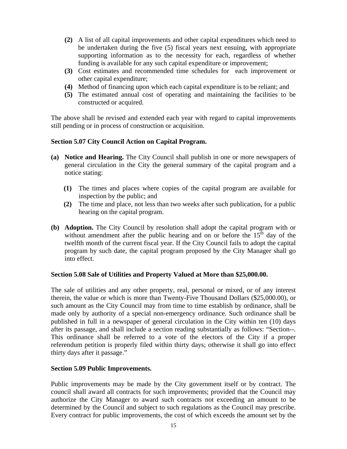- **(2)** A list of all capital improvements and other capital expenditures which need to be undertaken during the five (5) fiscal years next ensuing, with appropriate supporting information as to the necessity for each, regardless of whether funding is available for any such capital expenditure or improvement;
- **(3)** Cost estimates and recommended time schedules for each improvement or other capital expenditure;
- **(4)** Method of financing upon which each capital expenditure is to be reliant; and
- **(5)** The estimated annual cost of operating and maintaining the facilities to be constructed or acquired.

The above shall be revised and extended each year with regard to capital improvements still pending or in process of construction or acquisition.

## **Section 5.07 City Council Action on Capital Program.**

- **(a) Notice and Hearing.** The City Council shall publish in one or more newspapers of general circulation in the City the general summary of the capital program and a notice stating:
	- **(1)** The times and places where copies of the capital program are available for inspection by the public; and
	- **(2)** The time and place, not less than two weeks after such publication, for a public hearing on the capital program.
- **(b) Adoption.** The City Council by resolution shall adopt the capital program with or without amendment after the public hearing and on or before the  $15<sup>th</sup>$  day of the twelfth month of the current fiscal year. If the City Council fails to adopt the capital program by such date, the capital program proposed by the City Manager shall go into effect.

## **Section 5.08 Sale of Utilities and Property Valued at More than \$25,000.00.**

The sale of utilities and any other property, real, personal or mixed, or of any interest therein, the value or which is more than Twenty-Five Thousand Dollars (\$25,000.00), or such amount as the City Council may from time to time establish by ordinance, shall be made only by authority of a special non-emergency ordinance. Such ordinance shall be published in full in a newspaper of general circulation in the City within ten (10) days after its passage, and shall include a section reading substantially as follows: "Section--. This ordinance shall be referred to a vote of the electors of the City if a proper referendum petition is properly filed within thirty days; otherwise it shall go into effect thirty days after it passage."

## **Section 5.09 Public Improvements.**

Public improvements may be made by the City government itself or by contract. The council shall award all contracts for such improvements; provided that the Council may authorize the City Manager to award such contracts not exceeding an amount to be determined by the Council and subject to such regulations as the Council may prescribe. Every contract for public improvements, the cost of which exceeds the amount set by the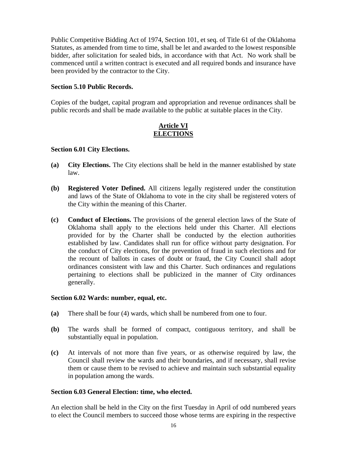Public Competitive Bidding Act of 1974, Section 101, et seq. of Title 61 of the Oklahoma Statutes, as amended from time to time, shall be let and awarded to the lowest responsible bidder, after solicitation for sealed bids, in accordance with that Act. No work shall be commenced until a written contract is executed and all required bonds and insurance have been provided by the contractor to the City.

## **Section 5.10 Public Records.**

Copies of the budget, capital program and appropriation and revenue ordinances shall be public records and shall be made available to the public at suitable places in the City.

## **Article VI ELECTIONS**

## **Section 6.01 City Elections.**

- **(a) City Elections.** The City elections shall be held in the manner established by state law.
- **(b) Registered Voter Defined.** All citizens legally registered under the constitution and laws of the State of Oklahoma to vote in the city shall be registered voters of the City within the meaning of this Charter.
- **(c) Conduct of Elections.** The provisions of the general election laws of the State of Oklahoma shall apply to the elections held under this Charter. All elections provided for by the Charter shall be conducted by the election authorities established by law. Candidates shall run for office without party designation. For the conduct of City elections, for the prevention of fraud in such elections and for the recount of ballots in cases of doubt or fraud, the City Council shall adopt ordinances consistent with law and this Charter. Such ordinances and regulations pertaining to elections shall be publicized in the manner of City ordinances generally.

## **Section 6.02 Wards: number, equal, etc.**

- **(a)** There shall be four (4) wards, which shall be numbered from one to four.
- **(b)** The wards shall be formed of compact, contiguous territory, and shall be substantially equal in population.
- **(c)** At intervals of not more than five years, or as otherwise required by law, the Council shall review the wards and their boundaries, and if necessary, shall revise them or cause them to be revised to achieve and maintain such substantial equality in population among the wards.

## **Section 6.03 General Election: time, who elected.**

An election shall be held in the City on the first Tuesday in April of odd numbered years to elect the Council members to succeed those whose terms are expiring in the respective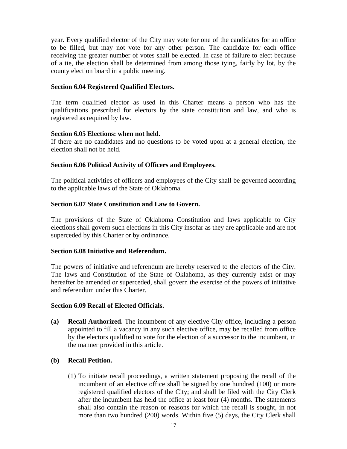year. Every qualified elector of the City may vote for one of the candidates for an office to be filled, but may not vote for any other person. The candidate for each office receiving the greater number of votes shall be elected. In case of failure to elect because of a tie, the election shall be determined from among those tying, fairly by lot, by the county election board in a public meeting.

## **Section 6.04 Registered Qualified Electors.**

The term qualified elector as used in this Charter means a person who has the qualifications prescribed for electors by the state constitution and law, and who is registered as required by law.

## **Section 6.05 Elections: when not held.**

If there are no candidates and no questions to be voted upon at a general election, the election shall not be held.

## **Section 6.06 Political Activity of Officers and Employees.**

The political activities of officers and employees of the City shall be governed according to the applicable laws of the State of Oklahoma.

## **Section 6.07 State Constitution and Law to Govern.**

The provisions of the State of Oklahoma Constitution and laws applicable to City elections shall govern such elections in this City insofar as they are applicable and are not superceded by this Charter or by ordinance.

## **Section 6.08 Initiative and Referendum.**

The powers of initiative and referendum are hereby reserved to the electors of the City. The laws and Constitution of the State of Oklahoma, as they currently exist or may hereafter be amended or superceded, shall govern the exercise of the powers of initiative and referendum under this Charter.

## **Section 6.09 Recall of Elected Officials.**

**(a) Recall Authorized.** The incumbent of any elective City office, including a person appointed to fill a vacancy in any such elective office, may be recalled from office by the electors qualified to vote for the election of a successor to the incumbent, in the manner provided in this article.

# **(b) Recall Petition.**

(1) To initiate recall proceedings, a written statement proposing the recall of the incumbent of an elective office shall be signed by one hundred (100) or more registered qualified electors of the City; and shall be filed with the City Clerk after the incumbent has held the office at least four (4) months. The statements shall also contain the reason or reasons for which the recall is sought, in not more than two hundred (200) words. Within five (5) days, the City Clerk shall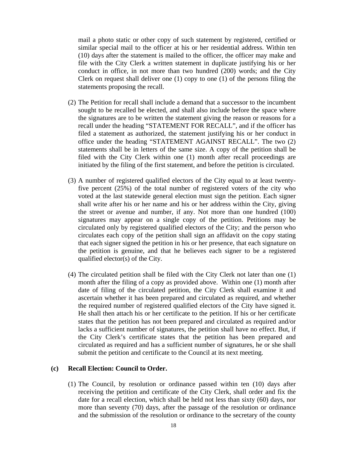mail a photo static or other copy of such statement by registered, certified or similar special mail to the officer at his or her residential address. Within ten (10) days after the statement is mailed to the officer, the officer may make and file with the City Clerk a written statement in duplicate justifying his or her conduct in office, in not more than two hundred (200) words; and the City Clerk on request shall deliver one (1) copy to one (1) of the persons filing the statements proposing the recall.

- (2) The Petition for recall shall include a demand that a successor to the incumbent sought to be recalled be elected, and shall also include before the space where the signatures are to be written the statement giving the reason or reasons for a recall under the heading "STATEMENT FOR RECALL", and if the officer has filed a statement as authorized, the statement justifying his or her conduct in office under the heading "STATEMENT AGAINST RECALL". The two (2) statements shall be in letters of the same size. A copy of the petition shall be filed with the City Clerk within one (1) month after recall proceedings are initiated by the filing of the first statement, and before the petition is circulated.
- (3) A number of registered qualified electors of the City equal to at least twentyfive percent (25%) of the total number of registered voters of the city who voted at the last statewide general election must sign the petition. Each signer shall write after his or her name and his or her address within the City, giving the street or avenue and number, if any. Not more than one hundred (100) signatures may appear on a single copy of the petition. Petitions may be circulated only by registered qualified electors of the City; and the person who circulates each copy of the petition shall sign an affidavit on the copy stating that each signer signed the petition in his or her presence, that each signature on the petition is genuine, and that he believes each signer to be a registered qualified elector(s) of the City.
- (4) The circulated petition shall be filed with the City Clerk not later than one (1) month after the filing of a copy as provided above. Within one (1) month after date of filing of the circulated petition, the City Clerk shall examine it and ascertain whether it has been prepared and circulated as required, and whether the required number of registered qualified electors of the City have signed it. He shall then attach his or her certificate to the petition. If his or her certificate states that the petition has not been prepared and circulated as required and/or lacks a sufficient number of signatures, the petition shall have no effect. But, if the City Clerk's certificate states that the petition has been prepared and circulated as required and has a sufficient number of signatures, he or she shall submit the petition and certificate to the Council at its next meeting.

### **(c) Recall Election: Council to Order.**

(1) The Council, by resolution or ordinance passed within ten (10) days after receiving the petition and certificate of the City Clerk, shall order and fix the date for a recall election, which shall be held not less than sixty (60) days, nor more than seventy (70) days, after the passage of the resolution or ordinance and the submission of the resolution or ordinance to the secretary of the county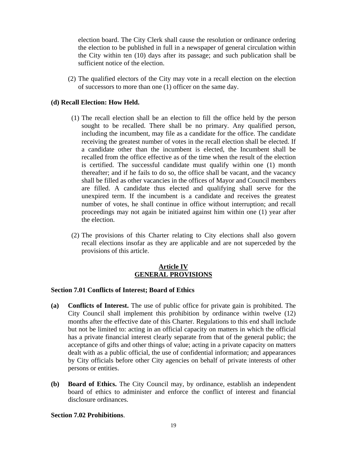election board. The City Clerk shall cause the resolution or ordinance ordering the election to be published in full in a newspaper of general circulation within the City within ten (10) days after its passage; and such publication shall be sufficient notice of the election.

(2) The qualified electors of the City may vote in a recall election on the election of successors to more than one (1) officer on the same day.

## **(d) Recall Election: How Held.**

- (1) The recall election shall be an election to fill the office held by the person sought to be recalled. There shall be no primary. Any qualified person, including the incumbent, may file as a candidate for the office. The candidate receiving the greatest number of votes in the recall election shall be elected. If a candidate other than the incumbent is elected, the Incumbent shall be recalled from the office effective as of the time when the result of the election is certified. The successful candidate must qualify within one (1) month thereafter; and if he fails to do so, the office shall be vacant, and the vacancy shall be filled as other vacancies in the offices of Mayor and Council members are filled. A candidate thus elected and qualifying shall serve for the unexpired term. If the incumbent is a candidate and receives the greatest number of votes, he shall continue in office without interruption; and recall proceedings may not again be initiated against him within one (1) year after the election.
- (2) The provisions of this Charter relating to City elections shall also govern recall elections insofar as they are applicable and are not superceded by the provisions of this article.

## **Article IV GENERAL PROVISIONS**

## **Section 7.01 Conflicts of Interest; Board of Ethics**

- **(a) Conflicts of Interest.** The use of public office for private gain is prohibited. The City Council shall implement this prohibition by ordinance within twelve (12) months after the effective date of this Charter. Regulations to this end shall include but not be limited to: acting in an official capacity on matters in which the official has a private financial interest clearly separate from that of the general public; the acceptance of gifts and other things of value; acting in a private capacity on matters dealt with as a public official, the use of confidential information; and appearances by City officials before other City agencies on behalf of private interests of other persons or entities.
- **(b) Board of Ethics.** The City Council may, by ordinance, establish an independent board of ethics to administer and enforce the conflict of interest and financial disclosure ordinances.

## **Section 7.02 Prohibitions**.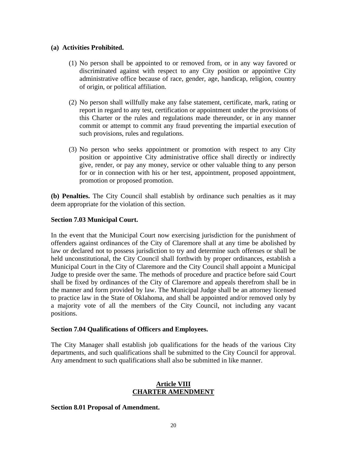## **(a) Activities Prohibited.**

- (1) No person shall be appointed to or removed from, or in any way favored or discriminated against with respect to any City position or appointive City administrative office because of race, gender, age, handicap, religion, country of origin, or political affiliation.
- (2) No person shall willfully make any false statement, certificate, mark, rating or report in regard to any test, certification or appointment under the provisions of this Charter or the rules and regulations made thereunder, or in any manner commit or attempt to commit any fraud preventing the impartial execution of such provisions, rules and regulations.
- (3) No person who seeks appointment or promotion with respect to any City position or appointive City administrative office shall directly or indirectly give, render, or pay any money, service or other valuable thing to any person for or in connection with his or her test, appointment, proposed appointment, promotion or proposed promotion.

**(b) Penalties.** The City Council shall establish by ordinance such penalties as it may deem appropriate for the violation of this section.

## **Section 7.03 Municipal Court.**

In the event that the Municipal Court now exercising jurisdiction for the punishment of offenders against ordinances of the City of Claremore shall at any time be abolished by law or declared not to possess jurisdiction to try and determine such offenses or shall be held unconstitutional, the City Council shall forthwith by proper ordinances, establish a Municipal Court in the City of Claremore and the City Council shall appoint a Municipal Judge to preside over the same. The methods of procedure and practice before said Court shall be fixed by ordinances of the City of Claremore and appeals therefrom shall be in the manner and form provided by law. The Municipal Judge shall be an attorney licensed to practice law in the State of Oklahoma, and shall be appointed and/or removed only by a majority vote of all the members of the City Council, not including any vacant positions.

## **Section 7.04 Qualifications of Officers and Employees.**

The City Manager shall establish job qualifications for the heads of the various City departments, and such qualifications shall be submitted to the City Council for approval. Any amendment to such qualifications shall also be submitted in like manner.

## **Article VIII CHARTER AMENDMENT**

## **Section 8.01 Proposal of Amendment.**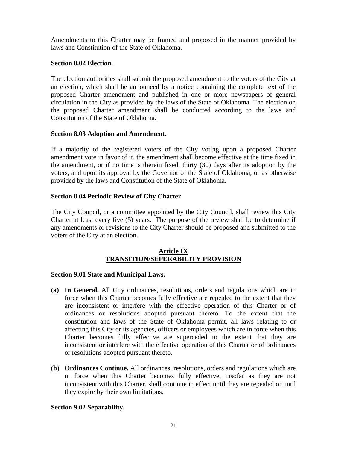Amendments to this Charter may be framed and proposed in the manner provided by laws and Constitution of the State of Oklahoma.

## **Section 8.02 Election.**

The election authorities shall submit the proposed amendment to the voters of the City at an election, which shall be announced by a notice containing the complete text of the proposed Charter amendment and published in one or more newspapers of general circulation in the City as provided by the laws of the State of Oklahoma. The election on the proposed Charter amendment shall be conducted according to the laws and Constitution of the State of Oklahoma.

## **Section 8.03 Adoption and Amendment.**

If a majority of the registered voters of the City voting upon a proposed Charter amendment vote in favor of it, the amendment shall become effective at the time fixed in the amendment, or if no time is therein fixed, thirty (30) days after its adoption by the voters, and upon its approval by the Governor of the State of Oklahoma, or as otherwise provided by the laws and Constitution of the State of Oklahoma.

# **Section 8.04 Periodic Review of City Charter**

The City Council, or a committee appointed by the City Council, shall review this City Charter at least every five (5) years. The purpose of the review shall be to determine if any amendments or revisions to the City Charter should be proposed and submitted to the voters of the City at an election.

## **Article IX TRANSITION/SEPERABILITY PROVISION**

## **Section 9.01 State and Municipal Laws.**

- **(a) In General.** All City ordinances, resolutions, orders and regulations which are in force when this Charter becomes fully effective are repealed to the extent that they are inconsistent or interfere with the effective operation of this Charter or of ordinances or resolutions adopted pursuant thereto. To the extent that the constitution and laws of the State of Oklahoma permit, all laws relating to or affecting this City or its agencies, officers or employees which are in force when this Charter becomes fully effective are superceded to the extent that they are inconsistent or interfere with the effective operation of this Charter or of ordinances or resolutions adopted pursuant thereto.
- **(b) Ordinances Continue.** All ordinances, resolutions, orders and regulations which are in force when this Charter becomes fully effective, insofar as they are not inconsistent with this Charter, shall continue in effect until they are repealed or until they expire by their own limitations.

# **Section 9.02 Separability.**